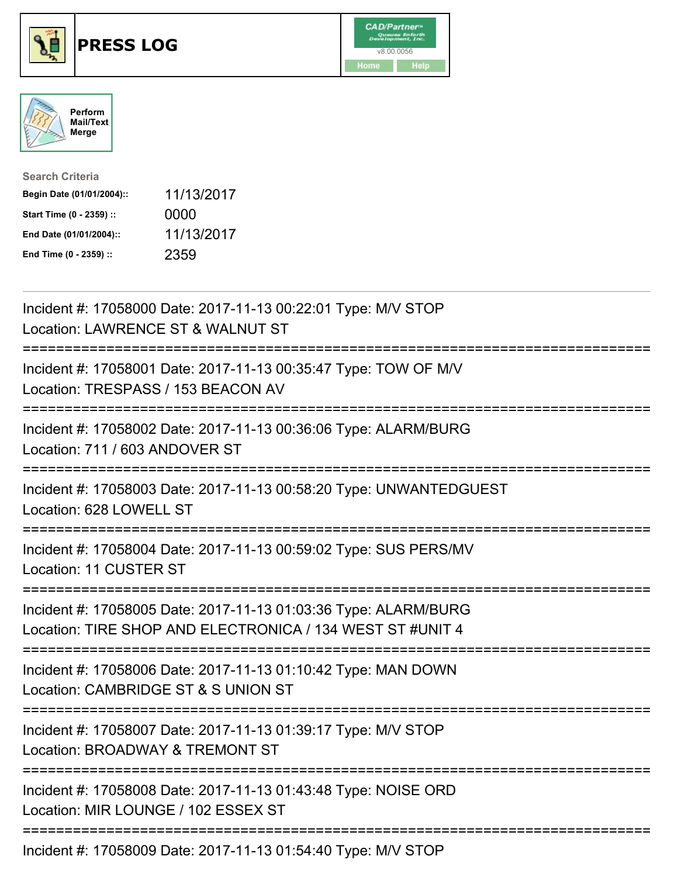





| <b>Search Criteria</b>    |            |
|---------------------------|------------|
| Begin Date (01/01/2004):: | 11/13/2017 |
| Start Time (0 - 2359) ::  | 0000       |
| End Date (01/01/2004)::   | 11/13/2017 |
| End Time (0 - 2359) ::    | 2359       |

| Incident #: 17058000 Date: 2017-11-13 00:22:01 Type: M/V STOP<br>Location: LAWRENCE ST & WALNUT ST                                   |
|--------------------------------------------------------------------------------------------------------------------------------------|
| Incident #: 17058001 Date: 2017-11-13 00:35:47 Type: TOW OF M/V<br>Location: TRESPASS / 153 BEACON AV<br>=========================== |
| Incident #: 17058002 Date: 2017-11-13 00:36:06 Type: ALARM/BURG<br>Location: 711 / 603 ANDOVER ST                                    |
| Incident #: 17058003 Date: 2017-11-13 00:58:20 Type: UNWANTEDGUEST<br>Location: 628 LOWELL ST                                        |
| Incident #: 17058004 Date: 2017-11-13 00:59:02 Type: SUS PERS/MV<br><b>Location: 11 CUSTER ST</b>                                    |
| Incident #: 17058005 Date: 2017-11-13 01:03:36 Type: ALARM/BURG<br>Location: TIRE SHOP AND ELECTRONICA / 134 WEST ST #UNIT 4         |
| Incident #: 17058006 Date: 2017-11-13 01:10:42 Type: MAN DOWN<br>Location: CAMBRIDGE ST & S UNION ST                                 |
| Incident #: 17058007 Date: 2017-11-13 01:39:17 Type: M/V STOP<br>Location: BROADWAY & TREMONT ST                                     |
| Incident #: 17058008 Date: 2017-11-13 01:43:48 Type: NOISE ORD<br>Location: MIR LOUNGE / 102 ESSEX ST                                |
| $\frac{1}{2}$                                                                                                                        |

Incident #: 17058009 Date: 2017-11-13 01:54:40 Type: M/V STOP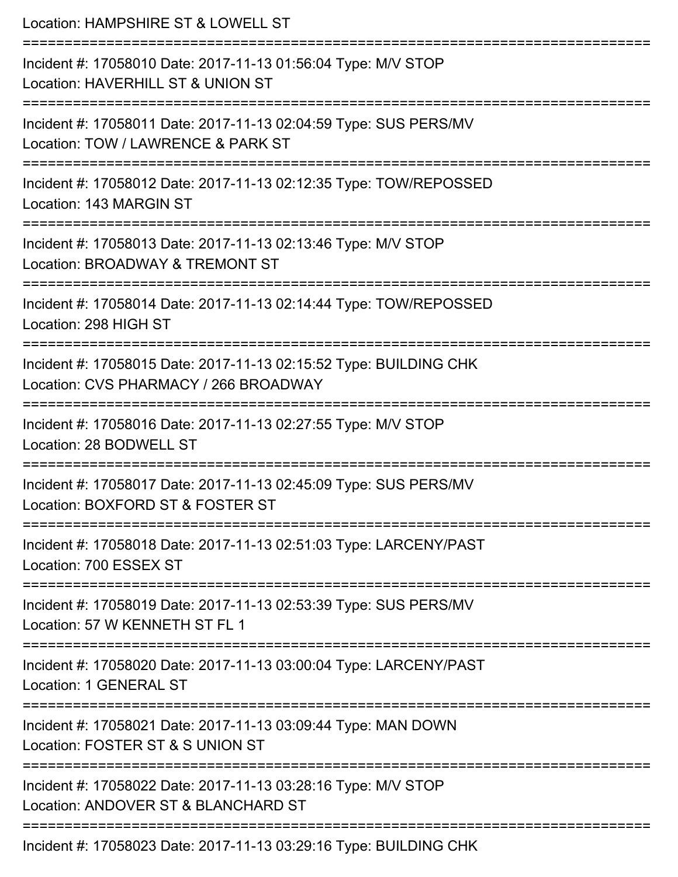| Location: HAMPSHIRE ST & LOWELL ST<br>==========================                                           |
|------------------------------------------------------------------------------------------------------------|
| Incident #: 17058010 Date: 2017-11-13 01:56:04 Type: M/V STOP<br>Location: HAVERHILL ST & UNION ST         |
| Incident #: 17058011 Date: 2017-11-13 02:04:59 Type: SUS PERS/MV<br>Location: TOW / LAWRENCE & PARK ST     |
| Incident #: 17058012 Date: 2017-11-13 02:12:35 Type: TOW/REPOSSED<br>Location: 143 MARGIN ST               |
| Incident #: 17058013 Date: 2017-11-13 02:13:46 Type: M/V STOP<br>Location: BROADWAY & TREMONT ST           |
| Incident #: 17058014 Date: 2017-11-13 02:14:44 Type: TOW/REPOSSED<br>Location: 298 HIGH ST                 |
| Incident #: 17058015 Date: 2017-11-13 02:15:52 Type: BUILDING CHK<br>Location: CVS PHARMACY / 266 BROADWAY |
| Incident #: 17058016 Date: 2017-11-13 02:27:55 Type: M/V STOP<br>Location: 28 BODWELL ST                   |
| Incident #: 17058017 Date: 2017-11-13 02:45:09 Type: SUS PERS/MV<br>Location: BOXFORD ST & FOSTER ST       |
| Incident #: 17058018 Date: 2017-11-13 02:51:03 Type: LARCENY/PAST<br>Location: 700 ESSEX ST                |
| Incident #: 17058019 Date: 2017-11-13 02:53:39 Type: SUS PERS/MV<br>Location: 57 W KENNETH ST FL 1         |
| Incident #: 17058020 Date: 2017-11-13 03:00:04 Type: LARCENY/PAST<br>Location: 1 GENERAL ST                |
| Incident #: 17058021 Date: 2017-11-13 03:09:44 Type: MAN DOWN<br>Location: FOSTER ST & S UNION ST          |
| Incident #: 17058022 Date: 2017-11-13 03:28:16 Type: M/V STOP<br>Location: ANDOVER ST & BLANCHARD ST       |
| Incident #: 17058023 Date: 2017-11-13 03:29:16 Type: BUILDING CHK                                          |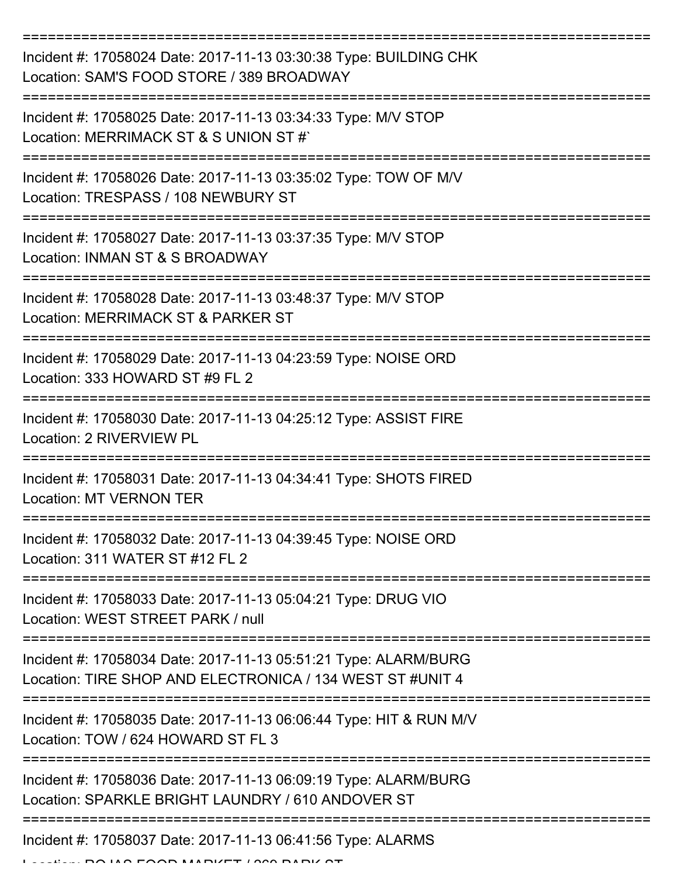| Incident #: 17058024 Date: 2017-11-13 03:30:38 Type: BUILDING CHK<br>Location: SAM'S FOOD STORE / 389 BROADWAY               |
|------------------------------------------------------------------------------------------------------------------------------|
| Incident #: 17058025 Date: 2017-11-13 03:34:33 Type: M/V STOP<br>Location: MERRIMACK ST & S UNION ST #`                      |
| Incident #: 17058026 Date: 2017-11-13 03:35:02 Type: TOW OF M/V<br>Location: TRESPASS / 108 NEWBURY ST                       |
| Incident #: 17058027 Date: 2017-11-13 03:37:35 Type: M/V STOP<br>Location: INMAN ST & S BROADWAY                             |
| Incident #: 17058028 Date: 2017-11-13 03:48:37 Type: M/V STOP<br>Location: MERRIMACK ST & PARKER ST                          |
| Incident #: 17058029 Date: 2017-11-13 04:23:59 Type: NOISE ORD<br>Location: 333 HOWARD ST #9 FL 2                            |
| Incident #: 17058030 Date: 2017-11-13 04:25:12 Type: ASSIST FIRE<br>Location: 2 RIVERVIEW PL                                 |
| Incident #: 17058031 Date: 2017-11-13 04:34:41 Type: SHOTS FIRED<br><b>Location: MT VERNON TER</b>                           |
| Incident #: 17058032 Date: 2017-11-13 04:39:45 Type: NOISE ORD<br>Location: 311 WATER ST #12 FL 2                            |
| Incident #: 17058033 Date: 2017-11-13 05:04:21 Type: DRUG VIO<br>Location: WEST STREET PARK / null                           |
| Incident #: 17058034 Date: 2017-11-13 05:51:21 Type: ALARM/BURG<br>Location: TIRE SHOP AND ELECTRONICA / 134 WEST ST #UNIT 4 |
| Incident #: 17058035 Date: 2017-11-13 06:06:44 Type: HIT & RUN M/V<br>Location: TOW / 624 HOWARD ST FL 3                     |
| Incident #: 17058036 Date: 2017-11-13 06:09:19 Type: ALARM/BURG<br>Location: SPARKLE BRIGHT LAUNDRY / 610 ANDOVER ST         |
| Incident #: 17058037 Date: 2017-11-13 06:41:56 Type: ALARMS                                                                  |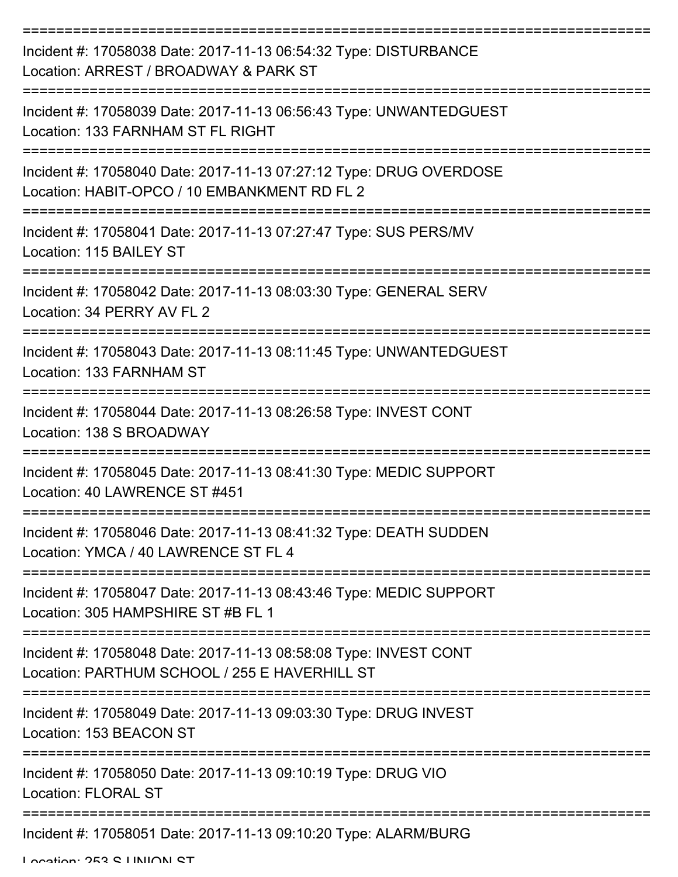| Incident #: 17058038 Date: 2017-11-13 06:54:32 Type: DISTURBANCE<br>Location: ARREST / BROADWAY & PARK ST          |
|--------------------------------------------------------------------------------------------------------------------|
| Incident #: 17058039 Date: 2017-11-13 06:56:43 Type: UNWANTEDGUEST<br>Location: 133 FARNHAM ST FL RIGHT            |
| Incident #: 17058040 Date: 2017-11-13 07:27:12 Type: DRUG OVERDOSE<br>Location: HABIT-OPCO / 10 EMBANKMENT RD FL 2 |
| Incident #: 17058041 Date: 2017-11-13 07:27:47 Type: SUS PERS/MV<br>Location: 115 BAILEY ST                        |
| Incident #: 17058042 Date: 2017-11-13 08:03:30 Type: GENERAL SERV<br>Location: 34 PERRY AV FL 2                    |
| Incident #: 17058043 Date: 2017-11-13 08:11:45 Type: UNWANTEDGUEST<br>Location: 133 FARNHAM ST                     |
| Incident #: 17058044 Date: 2017-11-13 08:26:58 Type: INVEST CONT<br>Location: 138 S BROADWAY                       |
| Incident #: 17058045 Date: 2017-11-13 08:41:30 Type: MEDIC SUPPORT<br>Location: 40 LAWRENCE ST #451                |
| Incident #: 17058046 Date: 2017-11-13 08:41:32 Type: DEATH SUDDEN<br>Location: YMCA / 40 LAWRENCE ST FL 4          |
| Incident #: 17058047 Date: 2017-11-13 08:43:46 Type: MEDIC SUPPORT<br>Location: 305 HAMPSHIRE ST #B FL 1           |
| Incident #: 17058048 Date: 2017-11-13 08:58:08 Type: INVEST CONT<br>Location: PARTHUM SCHOOL / 255 E HAVERHILL ST  |
| Incident #: 17058049 Date: 2017-11-13 09:03:30 Type: DRUG INVEST<br>Location: 153 BEACON ST                        |
| Incident #: 17058050 Date: 2017-11-13 09:10:19 Type: DRUG VIO<br><b>Location: FLORAL ST</b>                        |
| Incident #: 17058051 Date: 2017-11-13 09:10:20 Type: ALARM/BURG                                                    |

Location: 253 C LINIION CT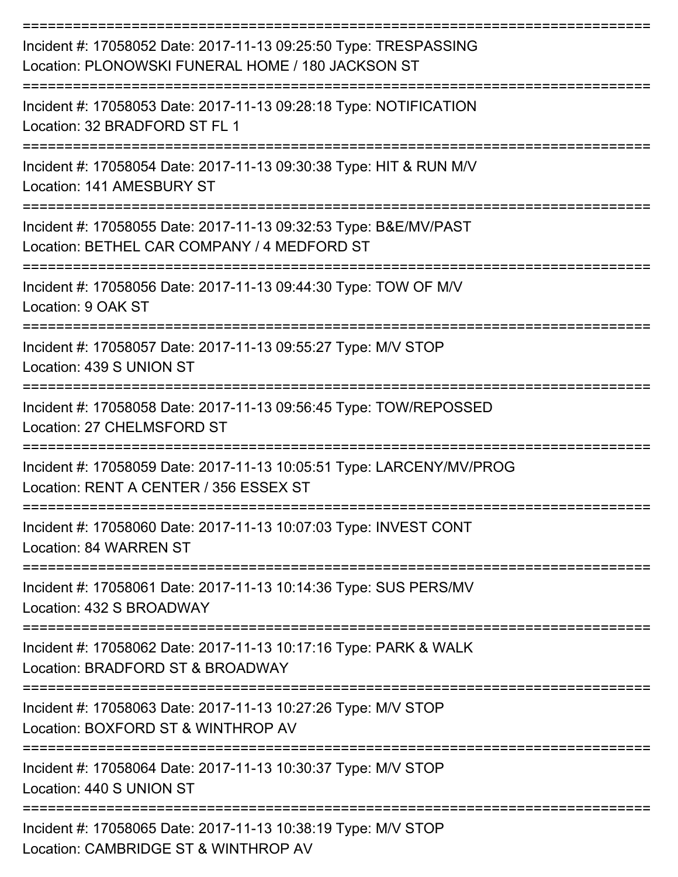| Incident #: 17058052 Date: 2017-11-13 09:25:50 Type: TRESPASSING<br>Location: PLONOWSKI FUNERAL HOME / 180 JACKSON ST |
|-----------------------------------------------------------------------------------------------------------------------|
| Incident #: 17058053 Date: 2017-11-13 09:28:18 Type: NOTIFICATION<br>Location: 32 BRADFORD ST FL 1                    |
| Incident #: 17058054 Date: 2017-11-13 09:30:38 Type: HIT & RUN M/V<br>Location: 141 AMESBURY ST                       |
| Incident #: 17058055 Date: 2017-11-13 09:32:53 Type: B&E/MV/PAST<br>Location: BETHEL CAR COMPANY / 4 MEDFORD ST       |
| Incident #: 17058056 Date: 2017-11-13 09:44:30 Type: TOW OF M/V<br>Location: 9 OAK ST                                 |
| Incident #: 17058057 Date: 2017-11-13 09:55:27 Type: M/V STOP<br>Location: 439 S UNION ST                             |
| Incident #: 17058058 Date: 2017-11-13 09:56:45 Type: TOW/REPOSSED<br>Location: 27 CHELMSFORD ST                       |
| Incident #: 17058059 Date: 2017-11-13 10:05:51 Type: LARCENY/MV/PROG<br>Location: RENT A CENTER / 356 ESSEX ST        |
| Incident #: 17058060 Date: 2017-11-13 10:07:03 Type: INVEST CONT<br>Location: 84 WARREN ST                            |
| Incident #: 17058061 Date: 2017-11-13 10:14:36 Type: SUS PERS/MV<br>Location: 432 S BROADWAY                          |
| Incident #: 17058062 Date: 2017-11-13 10:17:16 Type: PARK & WALK<br>Location: BRADFORD ST & BROADWAY                  |
| Incident #: 17058063 Date: 2017-11-13 10:27:26 Type: M/V STOP<br>Location: BOXFORD ST & WINTHROP AV                   |
| Incident #: 17058064 Date: 2017-11-13 10:30:37 Type: M/V STOP<br>Location: 440 S UNION ST                             |
| Incident #: 17058065 Date: 2017-11-13 10:38:19 Type: M/V STOP<br>Location: CAMBRIDGE ST & WINTHROP AV                 |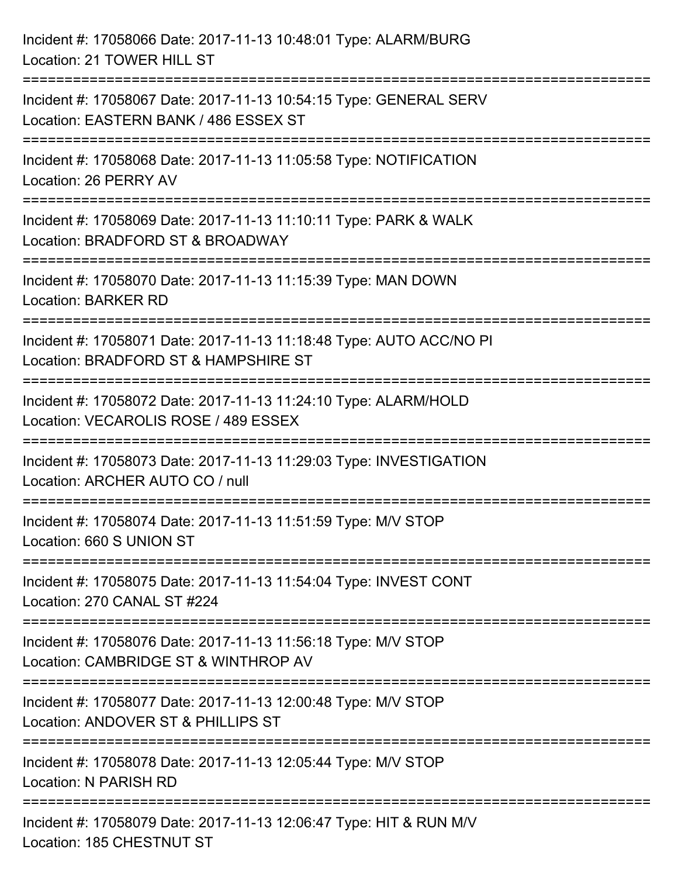| Incident #: 17058066 Date: 2017-11-13 10:48:01 Type: ALARM/BURG<br>Location: 21 TOWER HILL ST                             |
|---------------------------------------------------------------------------------------------------------------------------|
| Incident #: 17058067 Date: 2017-11-13 10:54:15 Type: GENERAL SERV<br>Location: EASTERN BANK / 486 ESSEX ST                |
| Incident #: 17058068 Date: 2017-11-13 11:05:58 Type: NOTIFICATION<br>Location: 26 PERRY AV                                |
| Incident #: 17058069 Date: 2017-11-13 11:10:11 Type: PARK & WALK<br>Location: BRADFORD ST & BROADWAY                      |
| Incident #: 17058070 Date: 2017-11-13 11:15:39 Type: MAN DOWN<br><b>Location: BARKER RD</b>                               |
| Incident #: 17058071 Date: 2017-11-13 11:18:48 Type: AUTO ACC/NO PI<br>Location: BRADFORD ST & HAMPSHIRE ST               |
| Incident #: 17058072 Date: 2017-11-13 11:24:10 Type: ALARM/HOLD<br>Location: VECAROLIS ROSE / 489 ESSEX<br>============== |
| Incident #: 17058073 Date: 2017-11-13 11:29:03 Type: INVESTIGATION<br>Location: ARCHER AUTO CO / null                     |
| Incident #: 17058074 Date: 2017-11-13 11:51:59 Type: M/V STOP<br>Location: 660 S UNION ST                                 |
| Incident #: 17058075 Date: 2017-11-13 11:54:04 Type: INVEST CONT<br>Location: 270 CANAL ST #224                           |
| Incident #: 17058076 Date: 2017-11-13 11:56:18 Type: M/V STOP<br>Location: CAMBRIDGE ST & WINTHROP AV                     |
| Incident #: 17058077 Date: 2017-11-13 12:00:48 Type: M/V STOP<br>Location: ANDOVER ST & PHILLIPS ST                       |
| Incident #: 17058078 Date: 2017-11-13 12:05:44 Type: M/V STOP<br>Location: N PARISH RD                                    |
| Incident #: 17058079 Date: 2017-11-13 12:06:47 Type: HIT & RUN M/V<br>Location: 185 CHESTNUT ST                           |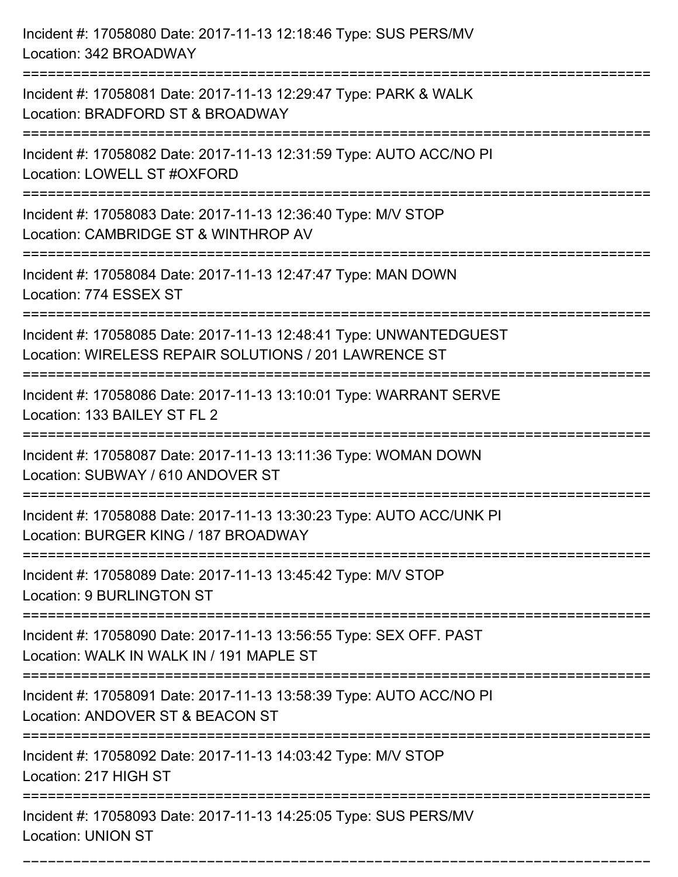| Incident #: 17058080 Date: 2017-11-13 12:18:46 Type: SUS PERS/MV<br>Location: 342 BROADWAY                                  |
|-----------------------------------------------------------------------------------------------------------------------------|
| Incident #: 17058081 Date: 2017-11-13 12:29:47 Type: PARK & WALK<br>Location: BRADFORD ST & BROADWAY                        |
| Incident #: 17058082 Date: 2017-11-13 12:31:59 Type: AUTO ACC/NO PI<br>Location: LOWELL ST #OXFORD<br>-------------------   |
| Incident #: 17058083 Date: 2017-11-13 12:36:40 Type: M/V STOP<br>Location: CAMBRIDGE ST & WINTHROP AV                       |
| Incident #: 17058084 Date: 2017-11-13 12:47:47 Type: MAN DOWN<br>Location: 774 ESSEX ST                                     |
| Incident #: 17058085 Date: 2017-11-13 12:48:41 Type: UNWANTEDGUEST<br>Location: WIRELESS REPAIR SOLUTIONS / 201 LAWRENCE ST |
| Incident #: 17058086 Date: 2017-11-13 13:10:01 Type: WARRANT SERVE<br>Location: 133 BAILEY ST FL 2                          |
| Incident #: 17058087 Date: 2017-11-13 13:11:36 Type: WOMAN DOWN<br>Location: SUBWAY / 610 ANDOVER ST                        |
| Incident #: 17058088 Date: 2017-11-13 13:30:23 Type: AUTO ACC/UNK PI<br>Location: BURGER KING / 187 BROADWAY                |
| Incident #: 17058089 Date: 2017-11-13 13:45:42 Type: M/V STOP<br><b>Location: 9 BURLINGTON ST</b>                           |
| Incident #: 17058090 Date: 2017-11-13 13:56:55 Type: SEX OFF. PAST<br>Location: WALK IN WALK IN / 191 MAPLE ST              |
| Incident #: 17058091 Date: 2017-11-13 13:58:39 Type: AUTO ACC/NO PI<br>Location: ANDOVER ST & BEACON ST                     |
| Incident #: 17058092 Date: 2017-11-13 14:03:42 Type: M/V STOP<br>Location: 217 HIGH ST                                      |
| Incident #: 17058093 Date: 2017-11-13 14:25:05 Type: SUS PERS/MV<br><b>Location: UNION ST</b>                               |

===========================================================================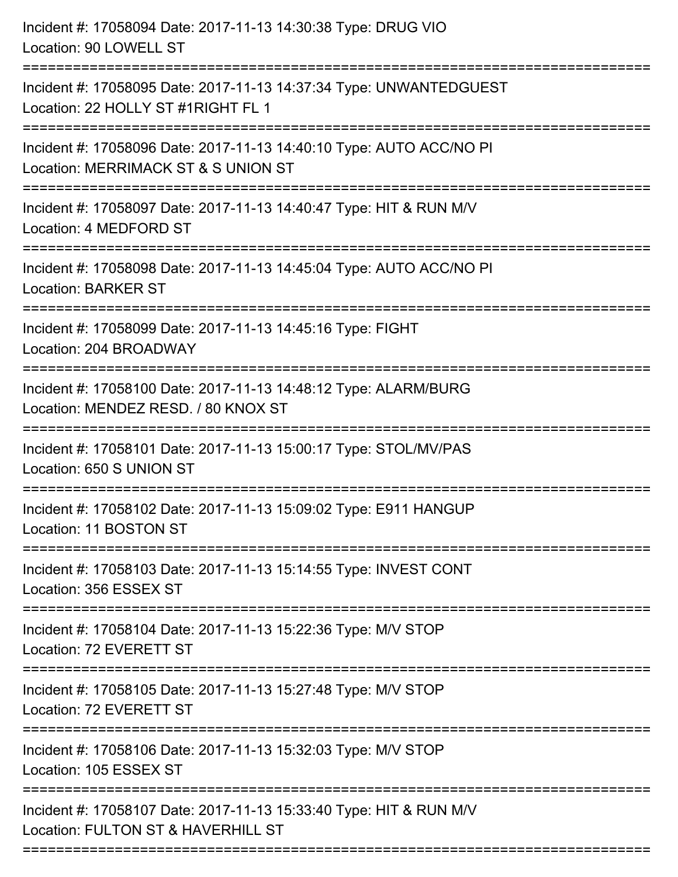| Incident #: 17058094 Date: 2017-11-13 14:30:38 Type: DRUG VIO<br>Location: 90 LOWELL ST                                                    |
|--------------------------------------------------------------------------------------------------------------------------------------------|
| Incident #: 17058095 Date: 2017-11-13 14:37:34 Type: UNWANTEDGUEST<br>Location: 22 HOLLY ST #1RIGHT FL 1                                   |
| Incident #: 17058096 Date: 2017-11-13 14:40:10 Type: AUTO ACC/NO PI<br>Location: MERRIMACK ST & S UNION ST<br>============================ |
| Incident #: 17058097 Date: 2017-11-13 14:40:47 Type: HIT & RUN M/V<br>Location: 4 MEDFORD ST                                               |
| Incident #: 17058098 Date: 2017-11-13 14:45:04 Type: AUTO ACC/NO PI<br><b>Location: BARKER ST</b>                                          |
| Incident #: 17058099 Date: 2017-11-13 14:45:16 Type: FIGHT<br>Location: 204 BROADWAY                                                       |
| Incident #: 17058100 Date: 2017-11-13 14:48:12 Type: ALARM/BURG<br>Location: MENDEZ RESD. / 80 KNOX ST                                     |
| Incident #: 17058101 Date: 2017-11-13 15:00:17 Type: STOL/MV/PAS<br>Location: 650 S UNION ST                                               |
| Incident #: 17058102 Date: 2017-11-13 15:09:02 Type: E911 HANGUP<br>Location: 11 BOSTON ST                                                 |
| Incident #: 17058103 Date: 2017-11-13 15:14:55 Type: INVEST CONT<br>Location: 356 ESSEX ST                                                 |
| Incident #: 17058104 Date: 2017-11-13 15:22:36 Type: M/V STOP<br>Location: 72 EVERETT ST                                                   |
| Incident #: 17058105 Date: 2017-11-13 15:27:48 Type: M/V STOP<br>Location: 72 EVERETT ST                                                   |
| ============================<br>Incident #: 17058106 Date: 2017-11-13 15:32:03 Type: M/V STOP<br>Location: 105 ESSEX ST                    |
| Incident #: 17058107 Date: 2017-11-13 15:33:40 Type: HIT & RUN M/V<br>Location: FULTON ST & HAVERHILL ST                                   |
|                                                                                                                                            |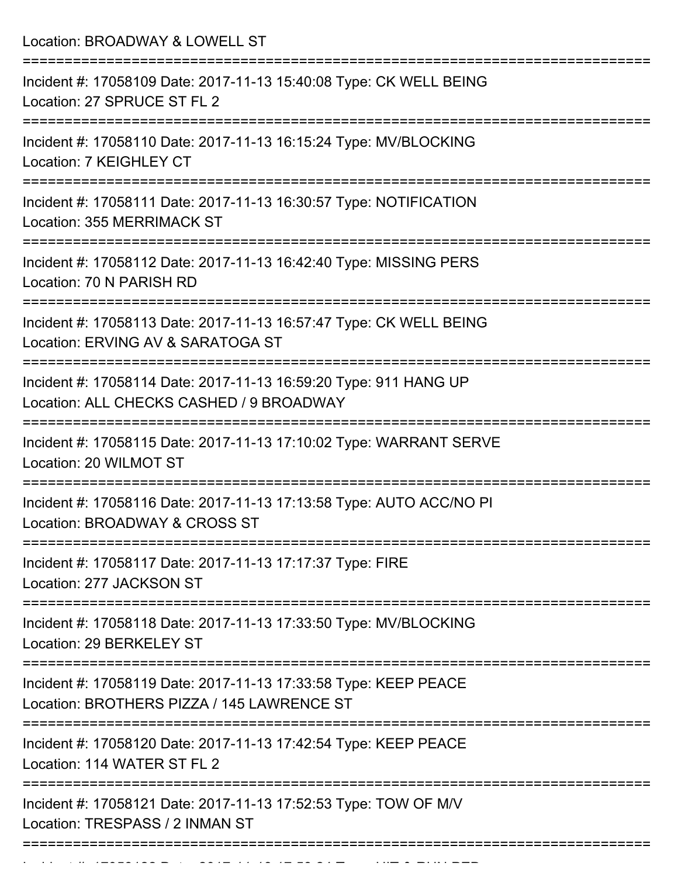| Location: BROADWAY & LOWELL ST                                                                                                               |
|----------------------------------------------------------------------------------------------------------------------------------------------|
| Incident #: 17058109 Date: 2017-11-13 15:40:08 Type: CK WELL BEING<br>Location: 27 SPRUCE ST FL 2                                            |
| Incident #: 17058110 Date: 2017-11-13 16:15:24 Type: MV/BLOCKING<br>Location: 7 KEIGHLEY CT                                                  |
| Incident #: 17058111 Date: 2017-11-13 16:30:57 Type: NOTIFICATION<br>Location: 355 MERRIMACK ST                                              |
| Incident #: 17058112 Date: 2017-11-13 16:42:40 Type: MISSING PERS<br>Location: 70 N PARISH RD                                                |
| Incident #: 17058113 Date: 2017-11-13 16:57:47 Type: CK WELL BEING<br>Location: ERVING AV & SARATOGA ST                                      |
| Incident #: 17058114 Date: 2017-11-13 16:59:20 Type: 911 HANG UP<br>Location: ALL CHECKS CASHED / 9 BROADWAY<br>============================ |
| Incident #: 17058115 Date: 2017-11-13 17:10:02 Type: WARRANT SERVE<br>Location: 20 WILMOT ST<br>=====================                        |
| Incident #: 17058116 Date: 2017-11-13 17:13:58 Type: AUTO ACC/NO PI<br>Location: BROADWAY & CROSS ST                                         |
| Incident #: 17058117 Date: 2017-11-13 17:17:37 Type: FIRE<br>Location: 277 JACKSON ST                                                        |
| Incident #: 17058118 Date: 2017-11-13 17:33:50 Type: MV/BLOCKING<br>Location: 29 BERKELEY ST                                                 |
| Incident #: 17058119 Date: 2017-11-13 17:33:58 Type: KEEP PEACE<br>Location: BROTHERS PIZZA / 145 LAWRENCE ST                                |
| ========================<br>Incident #: 17058120 Date: 2017-11-13 17:42:54 Type: KEEP PEACE<br>Location: 114 WATER ST FL 2                   |
| Incident #: 17058121 Date: 2017-11-13 17:52:53 Type: TOW OF M/V<br>Location: TRESPASS / 2 INMAN ST                                           |
|                                                                                                                                              |

Incident #: 17058122 Date: 2017 11 13 17:58:24 Type: HIT & RUN PED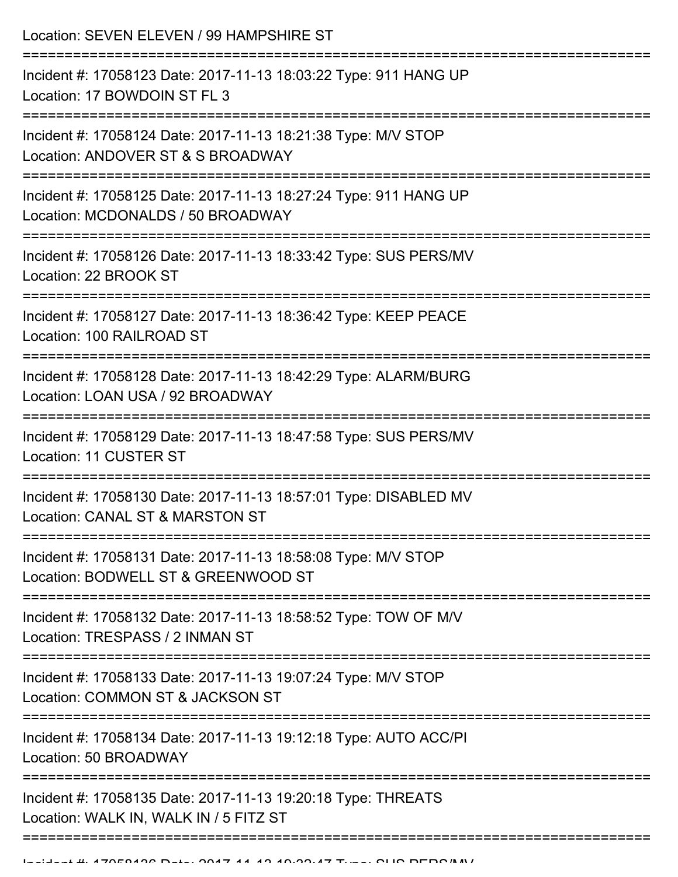Location: SEVEN ELEVEN / 99 HAMPSHIRE ST =========================================================================== Incident #: 17058123 Date: 2017-11-13 18:03:22 Type: 911 HANG UP Location: 17 BOWDOIN ST FL 3 =========================================================================== Incident #: 17058124 Date: 2017-11-13 18:21:38 Type: M/V STOP Location: ANDOVER ST & S BROADWAY =========================================================================== Incident #: 17058125 Date: 2017-11-13 18:27:24 Type: 911 HANG UP Location: MCDONALDS / 50 BROADWAY =========================================================================== Incident #: 17058126 Date: 2017-11-13 18:33:42 Type: SUS PERS/MV Location: 22 BROOK ST =========================================================================== Incident #: 17058127 Date: 2017-11-13 18:36:42 Type: KEEP PEACE Location: 100 RAILROAD ST =========================================================================== Incident #: 17058128 Date: 2017-11-13 18:42:29 Type: ALARM/BURG Location: LOAN USA / 92 BROADWAY =========================================================================== Incident #: 17058129 Date: 2017-11-13 18:47:58 Type: SUS PERS/MV Location: 11 CUSTER ST =========================================================================== Incident #: 17058130 Date: 2017-11-13 18:57:01 Type: DISABLED MV Location: CANAL ST & MARSTON ST =========================================================================== Incident #: 17058131 Date: 2017-11-13 18:58:08 Type: M/V STOP Location: BODWELL ST & GREENWOOD ST =========================================================================== Incident #: 17058132 Date: 2017-11-13 18:58:52 Type: TOW OF M/V Location: TRESPASS / 2 INMAN ST =========================================================================== Incident #: 17058133 Date: 2017-11-13 19:07:24 Type: M/V STOP Location: COMMON ST & JACKSON ST =========================================================================== Incident #: 17058134 Date: 2017-11-13 19:12:18 Type: AUTO ACC/PI Location: 50 BROADWAY =========================================================================== Incident #: 17058135 Date: 2017-11-13 19:20:18 Type: THREATS Location: WALK IN, WALK IN / 5 FITZ ST ===========================================================================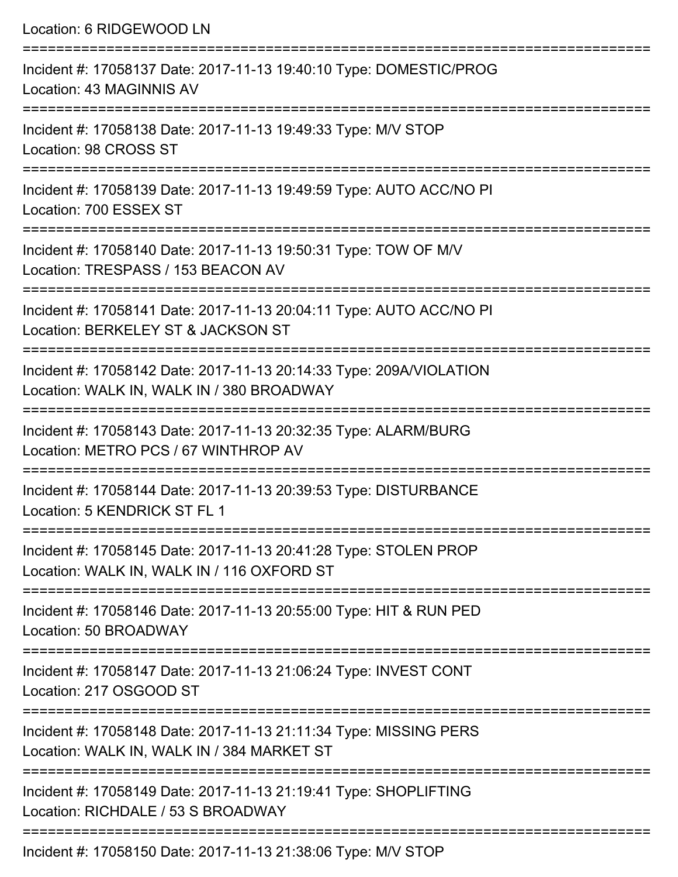Location: 6 RIDGEWOOD LN =========================================================================== Incident #: 17058137 Date: 2017-11-13 19:40:10 Type: DOMESTIC/PROG Location: 43 MAGINNIS AV =========================================================================== Incident #: 17058138 Date: 2017-11-13 19:49:33 Type: M/V STOP Location: 98 CROSS ST =========================================================================== Incident #: 17058139 Date: 2017-11-13 19:49:59 Type: AUTO ACC/NO PI Location: 700 ESSEX ST =========================================================================== Incident #: 17058140 Date: 2017-11-13 19:50:31 Type: TOW OF M/V Location: TRESPASS / 153 BEACON AV =========================================================================== Incident #: 17058141 Date: 2017-11-13 20:04:11 Type: AUTO ACC/NO PI Location: BERKELEY ST & JACKSON ST =========================================================================== Incident #: 17058142 Date: 2017-11-13 20:14:33 Type: 209A/VIOLATION Location: WALK IN, WALK IN / 380 BROADWAY =========================================================================== Incident #: 17058143 Date: 2017-11-13 20:32:35 Type: ALARM/BURG Location: METRO PCS / 67 WINTHROP AV =========================================================================== Incident #: 17058144 Date: 2017-11-13 20:39:53 Type: DISTURBANCE Location: 5 KENDRICK ST FL 1 =========================================================================== Incident #: 17058145 Date: 2017-11-13 20:41:28 Type: STOLEN PROP Location: WALK IN, WALK IN / 116 OXFORD ST =========================================================================== Incident #: 17058146 Date: 2017-11-13 20:55:00 Type: HIT & RUN PED Location: 50 BROADWAY =========================================================================== Incident #: 17058147 Date: 2017-11-13 21:06:24 Type: INVEST CONT Location: 217 OSGOOD ST =========================================================================== Incident #: 17058148 Date: 2017-11-13 21:11:34 Type: MISSING PERS Location: WALK IN, WALK IN / 384 MARKET ST =========================================================================== Incident #: 17058149 Date: 2017-11-13 21:19:41 Type: SHOPLIFTING Location: RICHDALE / 53 S BROADWAY ===========================================================================

Incident #: 17058150 Date: 2017-11-13 21:38:06 Type: M/V STOP